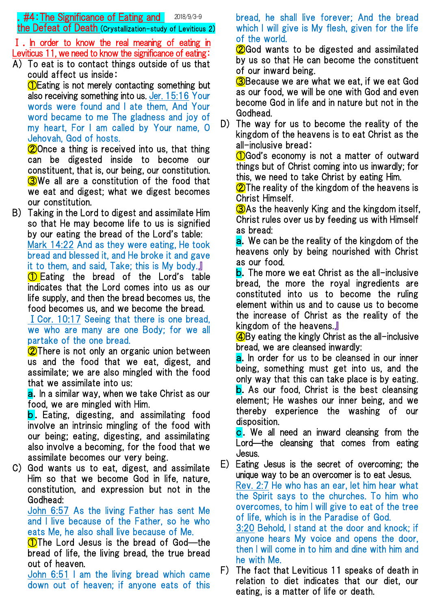.  $\#4$ :The Significance of Eating and  $\,$  2018/9/3-9  $\,$ the Defeat of Death (Crystallization-study of Leviticus 2)

Ⅰ.In order to know the real meaning of eating in Leviticus 11, we need to know the significance of eating:

A) To eat is to contact things outside of us that could affect us inside:

**O** Eating is not merely contacting something but also receiving something into us. Jer. 15:16 Your words were found and I ate them, And Your word became to me The gladness and joy of my heart, For I am called by Your name, O Jehovah, God of hosts.

**20** Once a thing is received into us, that thing can be digested inside to become our constituent, that is, our being, our constitution. 3We all are a constitution of the food that we eat and digest; what we digest becomes our constitution.

B) Taking in the Lord to digest and assimilate Him so that He may become life to us is signified by our eating the bread of the Lord's table:

Mark 14:22 And as they were eating, He took bread and blessed it, and He broke it and gave it to them, and said, Take; this is My body.』

**1** Eating the bread of the Lord's table indicates that the Lord comes into us as our life supply, and then the bread becomes us, the food becomes us, and we become the bread.

ⅠCor. 10:17 Seeing that there is one bread, we who are many are one Body; for we all partake of the one bread.

**②There is not only an organic union between** us and the food that we eat, digest, and assimilate; we are also mingled with the food that we assimilate into us:

a. In a similar way, when we take Christ as our food, we are mingled with Him.

**b.** Eating, digesting, and assimilating food involve an intrinsic mingling of the food with our being; eating, digesting, and assimilating also involve a becoming, for the food that we assimilate becomes our very being.

C) God wants us to eat, digest, and assimilate Him so that we become God in life, nature, constitution, and expression but not in the Godhead:

John 6:57 As the living Father has sent Me and I live because of the Father, so he who eats Me, he also shall live because of Me.

**1** The Lord Jesus is the bread of God—the bread of life, the living bread, the true bread out of heaven.

John 6:51 I am the living bread which came down out of heaven; if anyone eats of this bread, he shall live forever; And the bread which I will give is My flesh, given for the life of the world.

**2**God wants to be digested and assimilated by us so that He can become the constituent of our inward being.

**3**Because we are what we eat, if we eat God as our food, we will be one with God and even become God in life and in nature but not in the Godhead.

D) The way for us to become the reality of the kingdom of the heavens is to eat Christ as the all-inclusive bread:

**D**God's economy is not a matter of outward things but of Christ coming into us inwardly; for this, we need to take Christ by eating Him.

 $\Omega$ The reality of the kingdom of the heavens is Christ Himself.

③As the heavenly King and the kingdom itself, Christ rules over us by feeding us with Himself as bread:

a. We can be the reality of the kingdom of the heavens only by being nourished with Christ as our food.

**b.** The more we eat Christ as the all-inclusive bread, the more the royal ingredients are constituted into us to become the ruling element within us and to cause us to become the increase of Christ as the reality of the kingdom of the heavens.』

④By eating the kingly Christ as the all-inclusive bread, we are cleansed inwardly:

a. In order for us to be cleansed in our inner being, something must get into us, and the only way that this can take place is by eating. **b.** As our food, Christ is the best cleansing element; He washes our inner being, and we thereby experience the washing of our disposition.

c.We all need an inward cleansing from the Lord—the cleansing that comes from eating Jesus.

E) Eating Jesus is the secret of overcoming; the unique way to be an overcomer is to eat Jesus. Rev. 2:7 He who has an ear, let him hear what the Spirit says to the churches. To him who overcomes, to him I will give to eat of the tree of life, which is in the Paradise of God. 3:20 Behold, I stand at the door and knock; if anyone hears My voice and opens the door, then I will come in to him and dine with him and he with Me.

F) The fact that Leviticus 11 speaks of death in relation to diet indicates that our diet, our eating, is a matter of life or death.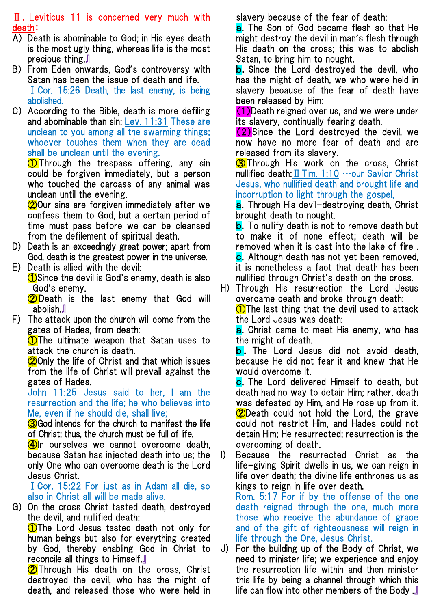Ⅱ.Leviticus 11 is concerned very much with death:

- A) Death is abominable to God; in His eyes death is the most ugly thing, whereas life is the most precious thing.』
- B) From Eden onwards, God's controversy with Satan has been the issue of death and life. ⅠCor. 15:26 Death, the last enemy, is being abolished.
- C) According to the Bible, death is more defiling and abominable than sin: Lev. 11:31 These are unclean to you among all the swarming things; whoever touches them when they are dead shall be unclean until the evening.

**1** Through the trespass offering, any sin could be forgiven immediately, but a person who touched the carcass of any animal was unclean until the evening.

**20**Our sins are forgiven immediately after we confess them to God, but a certain period of time must pass before we can be cleansed from the defilement of spiritual death.

- D) Death is an exceedingly great power; apart from God, death is the greatest power in the universe.
- E) Death is allied with the devil: **O**Since the devil is God's enemy, death is also God's enemy.

**2** Death is the last enemy that God will abolish.』

F) The attack upon the church will come from the gates of Hades, from death:

**1** The ultimate weapon that Satan uses to attack the church is death.

**20** Only the life of Christ and that which issues from the life of Christ will prevail against the gates of Hades.

John 11:25 Jesus said to her, I am the resurrection and the life; he who believes into Me, even if he should die, shall live;

**3**God intends for the church to manifest the life of Christ; thus, the church must be full of life.

**4** $\ln$  ourselves we cannot overcome death, because Satan has injected death into us; the only One who can overcome death is the Lord Jesus Christ.

ⅠCor. 15:22 For just as in Adam all die, so also in Christ all will be made alive.

G) On the cross Christ tasted death, destroyed the devil, and nullified death:

**1** The Lord Jesus tasted death not only for human beings but also for everything created by God, thereby enabling God in Christ to reconcile all things to Himself.』

**2** Through His death on the cross, Christ destroyed the devil, who has the might of death, and released those who were held in slavery because of the fear of death:

a.The Son of God became flesh so that He might destroy the devil in man's flesh through His death on the cross; this was to abolish Satan, to bring him to nought.

**b.** Since the Lord destroyed the devil, who has the might of death, we who were held in slavery because of the fear of death have been released by Him:

(1)Death reigned over us, and we were under its slavery, continually fearing death.

(2)Since the Lord destroyed the devil, we now have no more fear of death and are released from its slavery.

3 Through His work on the cross, Christ nullified death:ⅡTim. 1:10 …our Savior Christ Jesus, who nullified death and brought life and incorruption to light through the gospel,

a.Through His devil-destroying death, Christ brought death to nought.

b. To nullify death is not to remove death but to make it of none effect; death will be removed when it is cast into the lake of fire . c. Although death has not yet been removed, it is nonetheless a fact that death has been nullified through Christ's death on the cross.

H) Through His resurrection the Lord Jesus overcame death and broke through death:

**1** The last thing that the devil used to attack the Lord Jesus was death:

**a.** Christ came to meet His enemy, who has the might of death.

**b**. The Lord Jesus did not avoid death, because He did not fear it and knew that He would overcome it.

c.The Lord delivered Himself to death, but death had no way to detain Him; rather, death was defeated by Him, and He rose up from it. **2** Death could not hold the Lord, the grave could not restrict Him, and Hades could not detain Him; He resurrected; resurrection is the overcoming of death.

I) Because the resurrected Christ as the life-giving Spirit dwells in us, we can reign in life over death; the divine life enthrones us as kings to reign in life over death.

Rom. 5:17 For if by the offense of the one death reigned through the one, much more those who receive the abundance of grace and of the gift of righteousness will reign in life through the One, Jesus Christ.

J) For the building up of the Body of Christ, we need to minister life; we experience and enjoy the resurrection life within and then minister this life by being a channel through which this life can flow into other members of the Body .』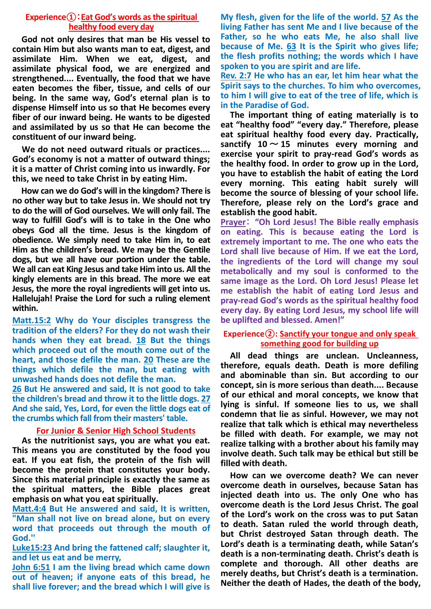#### **Experience①**:**Eat God's words as the spiritual healthy food every day**

**God not only desires that man be His vessel to contain Him but also wants man to eat, digest, and assimilate Him. When we eat, digest, and assimilate physical food, we are energized and strengthened.... Eventually, the food that we have eaten becomes the fiber, tissue, and cells of our being. In the same way, God's eternal plan is to dispense Himself into us so that He becomes every fiber of our inward being. He wants to be digested and assimilated by us so that He can become the constituent of our inward being.**

**We do not need outward rituals or practices.... God's economy is not a matter of outward things; it is a matter of Christ coming into us inwardly. For this, we need to take Christ in by eating Him.**

**How can we do God's will in the kingdom? There is no other way but to take Jesus in. We should not try to do the will of God ourselves. We will only fail. The way to fulfill God's will is to take in the One who obeys God all the time. Jesus is the kingdom of obedience. We simply need to take Him in, to eat Him as the children's bread. We may be the Gentile dogs, but we all have our portion under the table. We all can eat King Jesus and take Him into us. All the kingly elements are in this bread. The more we eat Jesus, the more the royal ingredients will get into us. Hallelujah! Praise the Lord for such a ruling element within.**

**Matt.15:2 Why do Your disciples transgress the tradition of the elders? For they do not wash their hands when they eat bread. 18 But the things which proceed out of the mouth come out of the heart, and those defile the man. 20 These are the things which defile the man, but eating with unwashed hands does not defile the man.**

**26 But He answered and said, It is not good to take the children's bread and throw it to the little dogs. 27 And she said, Yes, Lord, for even the little dogs eat of the crumbs which fall from their masters' table.**

# **For Junior & Senior High School Students**

**As the nutritionist says, you are what you eat. This means you are constituted by the food you eat. If you eat fish, the protein of the fish will become the protein that constitutes your body. Since this material principle is exactly the same as the spiritual matters, the Bible places great emphasis on what you eat spiritually.**

**Matt.4:4 But He answered and said, It is written, "Man shall not live on bread alone, but on every word that proceeds out through the mouth of God.''**

**Luke15:23 And bring the fattened calf; slaughter it, and let us eat and be merry,**

**John 6:51 I am the living bread which came down out of heaven; if anyone eats of this bread, he shall live forever; and the bread which I will give is**  **My flesh, given for the life of the world. 57 As the living Father has sent Me and I live because of the Father, so he who eats Me, he also shall live because of Me. 63 It is the Spirit who gives life; the flesh profits nothing; the words which I have spoken to you are spirit and are life.**

**Rev. 2:7 He who has an ear, let him hear what the Spirit says to the churches. To him who overcomes, to him I will give to eat of the tree of life, which is in the Paradise of God.**

**The important thing of eating materially is to eat "healthy food" "every day." Therefore, please eat spiritual healthy food every day. Practically,**  sanctify  $10 \sim 15$  minutes every morning and **exercise your spirit to pray-read God's words as the healthy food. In order to grow up in the Lord, you have to establish the habit of eating the Lord every morning. This eating habit surely will become the source of blessing of your school life. Therefore, please rely on the Lord's grace and establish the good habit.**

**Prayer**: **"Oh Lord Jesus! The Bible really emphasis on eating. This is because eating the Lord is extremely important to me. The one who eats the Lord shall live because of Him. If we eat the Lord, the ingredients of the Lord will change my soul metabolically and my soul is conformed to the same image as the Lord. Oh Lord Jesus! Please let me establish the habit of eating Lord Jesus and pray-read God's words as the spiritual healthy food every day. By eating Lord Jesus, my school life will be uplifted and blessed. Amen!"**

## **Experience②: Sanctify your tongue and only speak something good for building up**

**All dead things are unclean. Uncleanness, therefore, equals death. Death is more defiling and abominable than sin. But according to our concept, sin is more serious than death.... Because of our ethical and moral concepts, we know that lying is sinful. If someone lies to us, we shall condemn that lie as sinful. However, we may not realize that talk which is ethical may nevertheless be filled with death. For example, we may not realize talking with a brother about his family may involve death. Such talk may be ethical but still be filled with death.**

**How can we overcome death? We can never overcome death in ourselves, because Satan has injected death into us. The only One who has overcome death is the Lord Jesus Christ. The goal of the Lord's work on the cross was to put Satan to death. Satan ruled the world through death, but Christ destroyed Satan through death. The Lord's death is a terminating death, while Satan's death is a non-terminating death. Christ's death is complete and thorough. All other deaths are merely deaths, but Christ's death is a termination. Neither the death of Hades, the death of the body,**